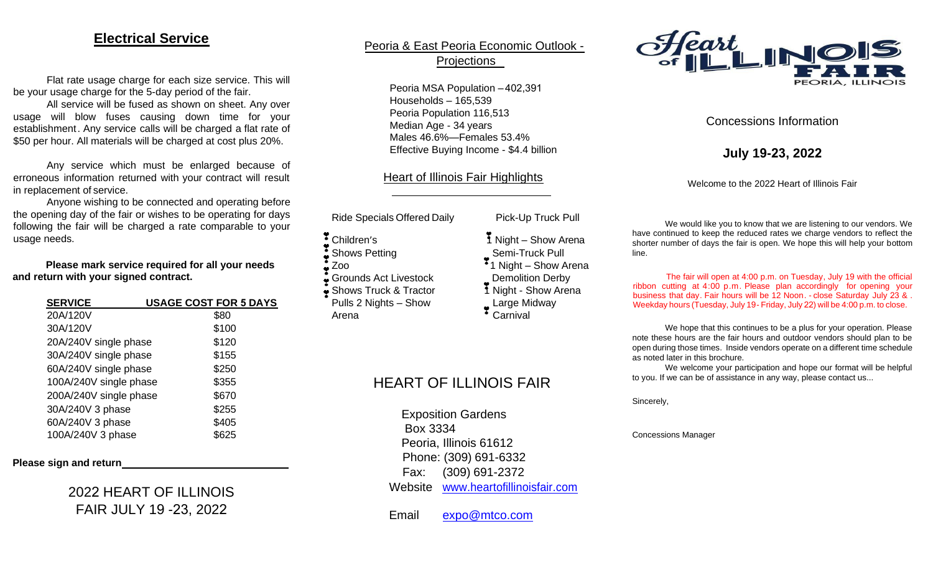### **Electrical Service**

Flat rate usage charge for each size service. This will be your usage charge for the 5-day period of the fair.

All service will be fused as shown on sheet. Any over usage will blow fuses causing down time for your establishment. Any service calls will be charged a flat rate of \$50 per hour. All materials will be charged at cost plus 20%.

Any service which must be enlarged because of erroneous information returned with your contract will result in replacement of service.

Anyone wishing to be connected and operating before the opening day of the fair or wishes to be operating for days following the fair will be charged a rate comparable to your usage needs.

**Please mark service required for all your needs and return with your signed contract.**

| <b>SERVICE</b>         | <b>USAGE COST FOR 5 DAYS</b> |
|------------------------|------------------------------|
| 20A/120V               | \$80                         |
| 30A/120V               | \$100                        |
| 20A/240V single phase  | \$120                        |
| 30A/240V single phase  | \$155                        |
| 60A/240V single phase  | \$250                        |
| 100A/240V single phase | \$355                        |
| 200A/240V single phase | \$670                        |
| 30A/240V 3 phase       | \$255                        |
| 60A/240V 3 phase       | \$405                        |
| 100A/240V 3 phase      | \$625                        |

### **Please sign and return**

2022 HEART OF ILLINOIS FAIR JULY 19 -23, 2022

### Peoria & East Peoria Economic Outlook - Projections

Peoria MSA Population – 402,391 Households – 165,539 Peoria Population 116,513 Median Age - 34 years Males 46.6%—Females 53.4% Effective Buying Income - \$4.4 billion

### Heart of Illinois Fair Highlights

Ride Specials Offered Daily Pick-Up Truck Pull

- ì Children's
- ì Shows Petting
- ì Zoo
- Grounds Act Livestock
- $\frac{3}{2}$  Shows  $\ddot{\phantom{0}}$ Truck & Tractor

Pulls 2 Nights – Show Arena

- 1 Night Show Arena
- Semi-Truck Pull  $\cdot$  1 Night – Show Arena
- Demolition Derby
- 1 Night Show Arena
- Large Midway
- Carnival

## HEART OF ILLINOIS FAIR

Exposition Gardens Box 3334 Peoria, Illinois 61612 Phone: (309) 691-6332 Fax: (309) 691-2372 Website [www.heartofillinoisfair.com](http://www.heartofillinoisfair.com/)

Email [expo@mtco.com](mailto:expo@mtco.com)



### Concessions Information

**July 19-23, 2022**

Welcome to the 2022 Heart of Illinois Fair

We would like you to know that we are listening to our vendors. We have continued to keep the reduced rates we charge vendors to reflect the shorter number of days the fair is open. We hope this will help your bottom line.

The fair will open at 4:00 p.m. on Tuesday, July 19 with the official ribbon cutting at 4:00 p.m. Please plan accordingly for opening your business that day. Fair hours will be 12 Noon. - close Saturday July 23 & . Weekday hours (Tuesday, July 19- Friday, July 22) will be 4:00 p.m. to close.

We hope that this continues to be a plus for your operation. Please note these hours are the fair hours and outdoor vendors should plan to be open during those times. Inside vendors operate on a different time schedule as noted later in this brochure.

We welcome your participation and hope our format will be helpful to you. If we can be of assistance in any way, please contact us...

Sincerely,

Concessions Manager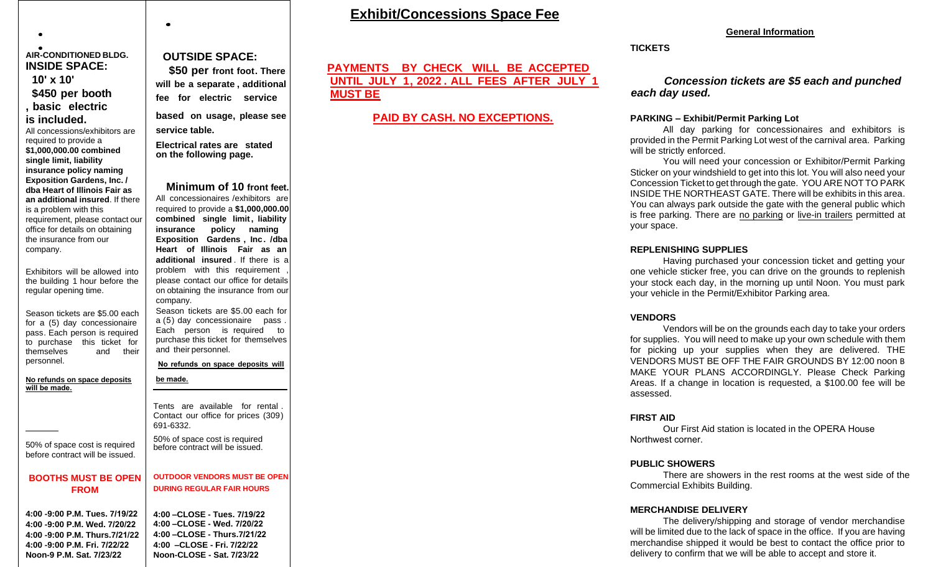### **Exhibit/Concessions Space Fee**

#### **General Information**

**TICKETS**

### *Concession tickets are \$5 each and punched each day used.*

#### **PARKING – Exhibit/Permit Parking Lot**

All day parking for concessionaires and exhibitors is provided in the Permit Parking Lot west of the carnival area. Parking will be strictly enforced.

You will need your concession or Exhibitor/Permit Parking Sticker on your windshield to get into this lot. You will also need your Concession Ticket to get through the gate. YOU ARE NOT TO PARK INSIDE THE NORTHEAST GATE. There will be exhibits in this area. You can always park outside the gate with the general public which is free parking. There are no parking or live-in trailers permitted at your space.

### **REPLENISHING SUPPLIES**

Having purchased your concession ticket and getting your one vehicle sticker free, you can drive on the grounds to replenish your stock each day, in the morning up until Noon. You must park your vehicle in the Permit/Exhibitor Parking area.

### **VENDORS**

Vendors will be on the grounds each day to take your orders for supplies. You will need to make up your own schedule with them for picking up your supplies when they are delivered. THE VENDORS MUST BE OFF THE FAIR GROUNDS BY 12:00 noon B MAKE YOUR PLANS ACCORDINGLY. Please Check Parking Areas. If a change in location is requested, a \$100.00 fee will be assessed.

### **FIRST AID**

Our First Aid station is located in the OPERA House Northwest corner.

### **PUBLIC SHOWERS**

There are showers in the rest rooms at the west side of the Commercial Exhibits Building.

### **MERCHANDISE DELIVERY**

The delivery/shipping and storage of vendor merchandise will be limited due to the lack of space in the office. If you are having merchandise shipped it would be best to contact the office prior to delivery to confirm that we will be able to accept and store it.

#### **AIR-CONDITIONED BLDG. INSIDE SPACE:**

 $\bullet$ 

**10' x 10' \$450 per booth , basic electric is included.**

All concessions/exhibitors are required to provide a **\$1,000,000.00 combined single limit, liability insurance policy naming Exposition Gardens, Inc. / dba Heart of Illinois Fair as an additional insured**. If there is a problem with this requirement, please contact our office for details on obtaining the insurance from our company.

Exhibitors will be allowed into the building 1 hour before the regular opening time.

Season tickets are \$5.00 each for a (5) day concessionaire pass. Each person is required to purchase this ticket for themselves and their personnel.

**No refunds on space deposits be made. will**

50% of space cost is required before contract will be issued.

### **BOOTHS MUST BE OPEN FROM**

**4:00 -9:00 P.M. Tues. 7/19/22 4:00 -9:00 P.M. Wed. 7/20/22 4:00 -9:00 P.M. Thurs.7/21/22 4:00 -9:00 P.M. Fri. 7/22/22 Noon-9 P.M. Sat. 7/23/22**

### **OUTSIDE SPACE:**

**\$50 per front foot. There will be a separate , additional fee for electric service based on usage, please see service table.**

**Electrical rates are stated on the following page.**

**Minimum of 10 front feet.** All concessionaires /exhibitors are required to provide a **\$1,000,000.00 combined single limit, liability insurance policy naming Exposition Gardens , Inc. /dba Heart of Illinois Fair as an additional insured** . If there is a problem with this requirement please contact our office for details on obtaining the insurance from our company. Season tickets are \$5.00 each for a (5) day concessionaire pass . Each person is required to purchase this ticket for themselves and their personnel. **refunds on space deposits will Nobe made.** Tents are available for rental . Contact our office for prices (309) 691-6332. 50% of space cost is required before contract will be issued. **OUTDOOR VENDORS MUST BE OPEN DURING REGULAR FAIR HOURS 4:00 –CLOSE - Tues. 7/19/22 4:00 –CLOSE - Wed. 7/20/22 4:00 –CLOSE - Thurs.7/21/22 4:00 –CLOSE - Fri. 7/22/22**

**Noon-CLOSE - Sat. 7/23/22**

### **PAYMENTS BY CHECK WILL BE ACCEPTED UNTIL JULY 1, 2022 . ALL FEES AFTER JULY 1 MUST BE**

### **PAID BY CASH. NO EXCEPTIONS.**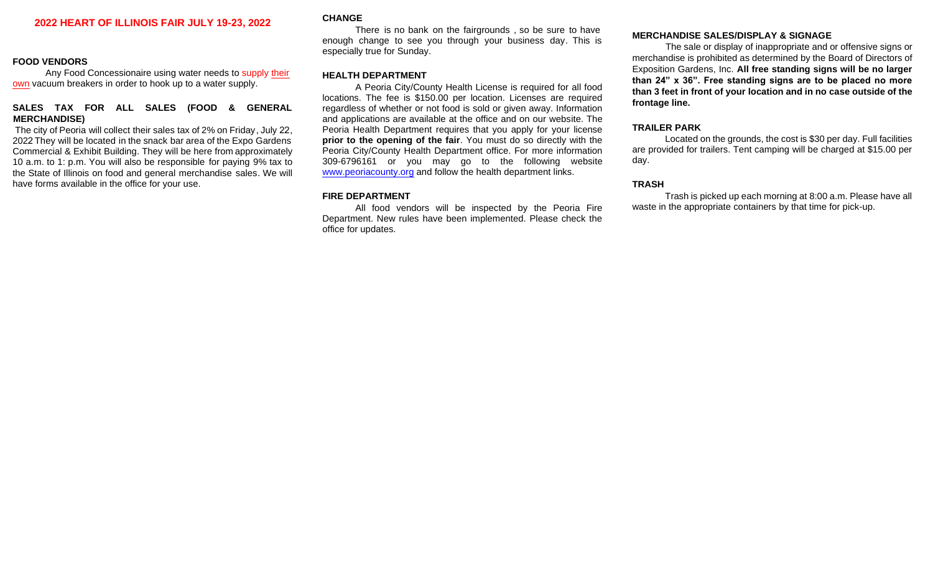### **2022 HEART OF ILLINOIS FAIR JULY 19-23, 2022**

#### **FOOD VENDORS**

Any Food Concessionaire using water needs to supply their own vacuum breakers in order to hook up to a water supply.

### **SALES TAX FOR ALL SALES (FOOD & GENERAL MERCHANDISE)**

The city of Peoria will collect their sales tax of 2% on Friday, July 22, 2022 They will be located in the snack bar area of the Expo Gardens Commercial & Exhibit Building. They will be here from approximately 10 a.m. to 1: p.m. You will also be responsible for paying 9% tax to the State of Illinois on food and general merchandise sales. We will have forms available in the office for your use.

#### **CHANGE**

There is no bank on the fairgrounds , so be sure to have enough change to see you through your business day. This is especially true for Sunday.

#### **HEALTH DEPARTMENT**

A Peoria City/County Health License is required for all food locations. The fee is \$150.00 per location. Licenses are required regardless of whether or not food is sold or given away. Information and applications are available at the office and on our website. The Peoria Health Department requires that you apply for your license **prior to the opening of the fair**. You must do so directly with the Peoria City/County Health Department office. For more information 309-6796161 or you may go to the following websi[te](http://www.peoriacounty.org/) [www.peoriacounty.org](http://www.peoriacounty.org/) [an](http://www.peoriacounty.org/)d follow the health department links.

### **FIRE DEPARTMENT**

All food vendors will be inspected by the Peoria Fire Department. New rules have been implemented. Please check the office for updates.

### **MERCHANDISE SALES/DISPLAY & SIGNAGE**

The sale or display of inappropriate and or offensive signs or merchandise is prohibited as determined by the Board of Directors of Exposition Gardens, Inc. **All free standing signs will be no larger than 24" x 36". Free standing signs are to be placed no more than 3 feet in front of your location and in no case outside of the frontage line.**

#### **TRAILER PARK**

Located on the grounds, the cost is \$30 per day. Full facilities are provided for trailers. Tent camping will be charged at \$15.00 per day.

### **TRASH**

Trash is picked up each morning at 8:00 a.m. Please have all waste in the appropriate containers by that time for pick-up.